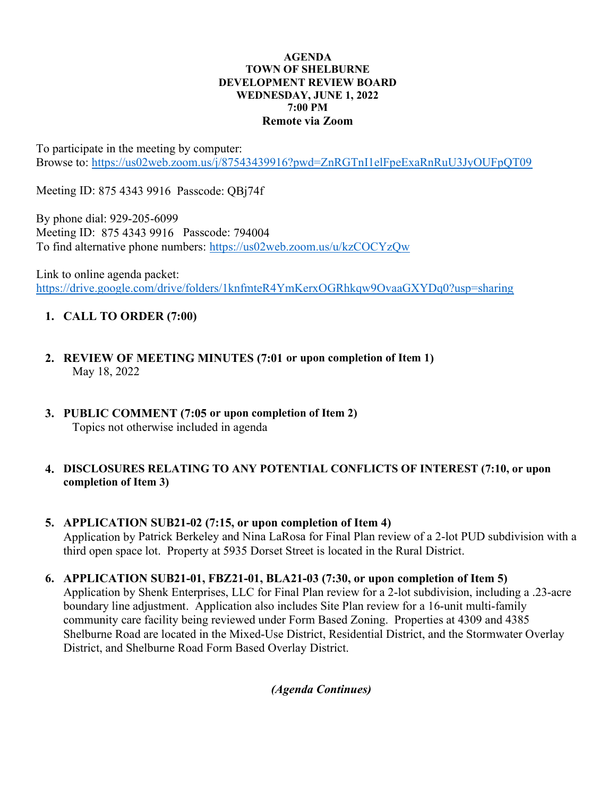#### AGENDA TOWN OF SHELBURNE DEVELOPMENT REVIEW BOARD WEDNESDAY, JUNE 1, 2022 7:00 PM Remote via Zoom

To participate in the meeting by computer: Browse to: https://us02web.zoom.us/j/87543439916?pwd=ZnRGTnI1elFpeExaRnRuU3JyOUFpQT09

Meeting ID: 875 4343 9916 Passcode: QBj74f

By phone dial: 929-205-6099 Meeting ID: 875 4343 9916 Passcode: 794004 To find alternative phone numbers: https://us02web.zoom.us/u/kzCOCYzQw

Link to online agenda packet: https://drive.google.com/drive/folders/1knfmteR4YmKerxOGRhkqw9OvaaGXYDq0?usp=sharing

# 1. CALL TO ORDER (7:00)

- 2. REVIEW OF MEETING MINUTES (7:01 or upon completion of Item 1) May 18, 2022
- 3. PUBLIC COMMENT (7:05 or upon completion of Item 2) Topics not otherwise included in agenda

### 4. DISCLOSURES RELATING TO ANY POTENTIAL CONFLICTS OF INTEREST (7:10, or upon completion of Item 3)

### 5. APPLICATION SUB21-02 (7:15, or upon completion of Item 4) Application by Patrick Berkeley and Nina LaRosa for Final Plan review of a 2-lot PUD subdivision with a third open space lot. Property at 5935 Dorset Street is located in the Rural District.

## 6. APPLICATION SUB21-01, FBZ21-01, BLA21-03 (7:30, or upon completion of Item 5)

Application by Shenk Enterprises, LLC for Final Plan review for a 2-lot subdivision, including a .23-acre boundary line adjustment. Application also includes Site Plan review for a 16-unit multi-family community care facility being reviewed under Form Based Zoning. Properties at 4309 and 4385 Shelburne Road are located in the Mixed-Use District, Residential District, and the Stormwater Overlay District, and Shelburne Road Form Based Overlay District.

(Agenda Continues)